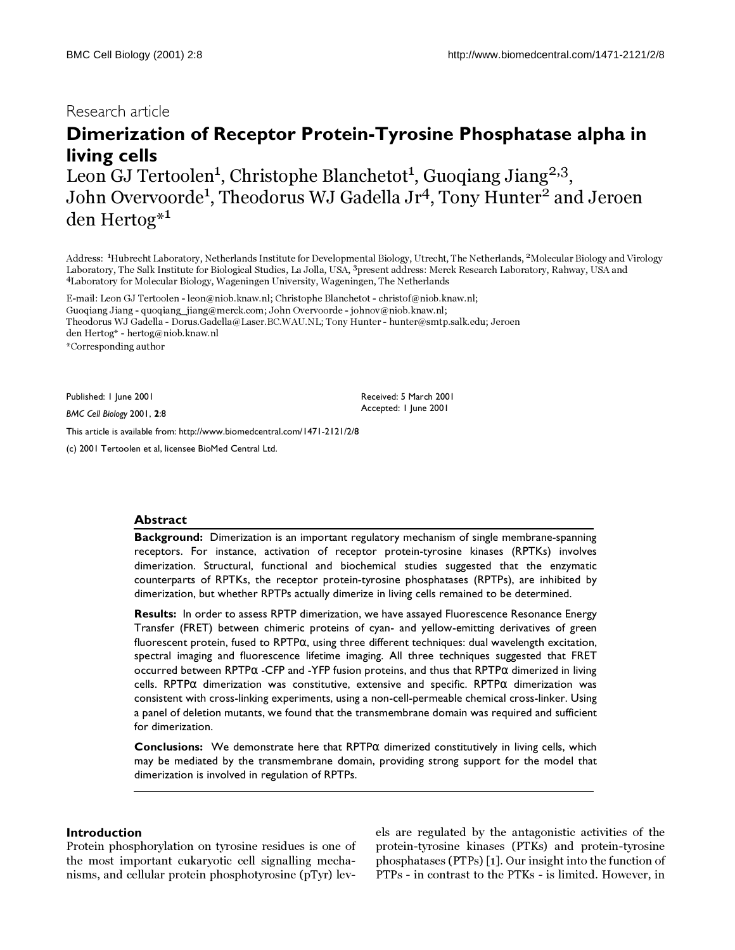## Research article

# **Dimerization of Receptor Protein-Tyrosine Phosphatase alpha in living cells** Leon GJ Tertoolen<sup>1</sup>, Christophe Blanchetot<sup>1</sup>, Guoqiang Jiang<sup>2,3</sup>,

John Overvoorde<sup>1</sup>, Theodorus WJ Gadella Jr<sup>4</sup>, Tony Hunter<sup>2</sup> and Jeroen den Hertog\*1

Address: <sup>1</sup> Hubrecht Laboratory, Netherlands Institute for Developmental Biology, Utrecht, The Netherlands, 2Molecular Biology and Virology Laboratory, The Salk Institute for Biological Studies, La Jolla, USA, 3present address: Merck Research Laboratory, Rahway, USA and <sup>4</sup>Laboratory for Molecular Biology, Wageningen University, Wageningen, The Netherlands

> Received: 5 March 2001 Accepted: 1 June 2001

E-mail: Leon GJ Tertoolen - leon@niob.knaw.nl; Christophe Blanchetot - christof@niob.knaw.nl; Guoqiang Jiang - quoqiang\_jiang@merck.com; John Overvoorde - johnov@niob.knaw.nl; Theodorus WJ Gadella - Dorus.Gadella@Laser.BC.WAU.NL; Tony Hunter - hunter@smtp.salk.edu; Jeroen den Hertog\* - hertog@niob.knaw.nl \*Corresponding author

Published: 1 June 2001

*BMC Cell Biology* 2001, **2**:8

[This article is available from: http://www.biomedcentral.com/1471-2121/2/8](http://www.biomedcentral.com/1471-2121/2/8)

(c) 2001 Tertoolen et al, licensee BioMed Central Ltd.

#### **Abstract**

**Background:** Dimerization is an important regulatory mechanism of single membrane-spanning receptors. For instance, activation of receptor protein-tyrosine kinases (RPTKs) involves dimerization. Structural, functional and biochemical studies suggested that the enzymatic counterparts of RPTKs, the receptor protein-tyrosine phosphatases (RPTPs), are inhibited by dimerization, but whether RPTPs actually dimerize in living cells remained to be determined.

**Results:** In order to assess RPTP dimerization, we have assayed Fluorescence Resonance Energy Transfer (FRET) between chimeric proteins of cyan- and yellow-emitting derivatives of green fluorescent protein, fused to  $\text{RPTP}\alpha$ , using three different techniques: dual wavelength excitation, spectral imaging and fluorescence lifetime imaging. All three techniques suggested that FRET occurred between RPTPα -CFP and -YFP fusion proteins, and thus that RPTPα dimerized in living cells. RPTPα dimerization was constitutive, extensive and specific. RPTPα dimerization was consistent with cross-linking experiments, using a non-cell-permeable chemical cross-linker. Using a panel of deletion mutants, we found that the transmembrane domain was required and sufficient for dimerization.

**Conclusions:** We demonstrate here that RPTPα dimerized constitutively in living cells, which may be mediated by the transmembrane domain, providing strong support for the model that dimerization is involved in regulation of RPTPs.

## **Introduction**

Protein phosphorylation on tyrosine residues is one of the most important eukaryotic cell signalling mechanisms, and cellular protein phosphotyrosine (pTyr) levels are regulated by the antagonistic activities of the protein-tyrosine kinases (PTKs) and protein-tyrosine phosphatases (PTPs) [[1](#page-12-0)]. Our insight into the function of PTPs - in contrast to the PTKs - is limited. However, in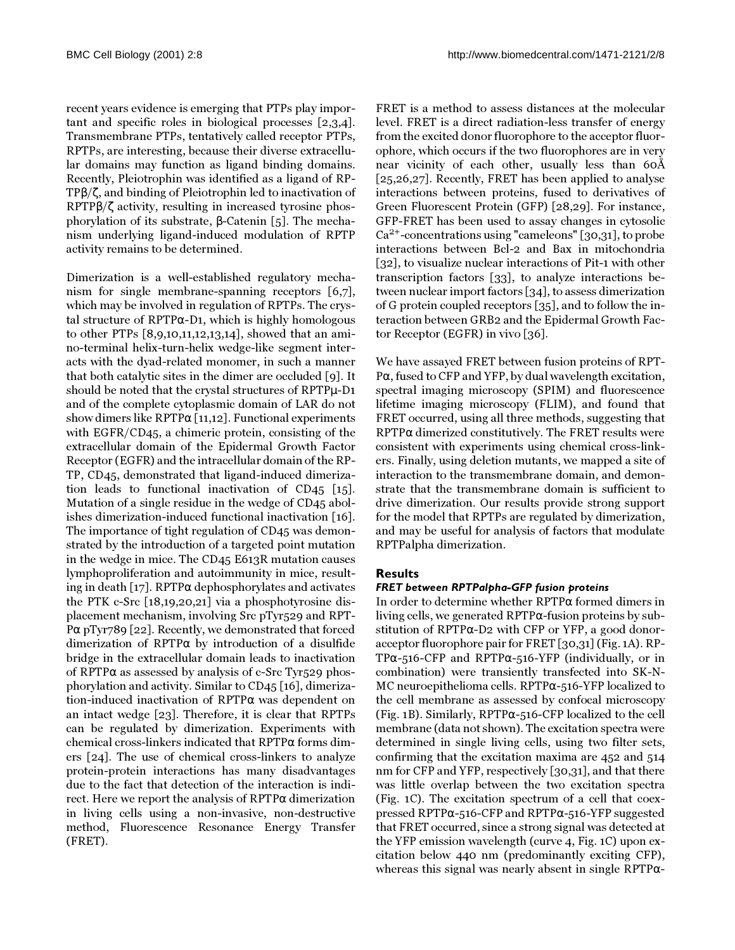recent years evidence is emerging that PTPs play important and specific roles in biological processes [\[2](#page-12-1)[,3](#page-12-2)[,4\]](#page-12-3). Transmembrane PTPs, tentatively called receptor PTPs, RPTPs, are interesting, because their diverse extracellular domains may function as ligand binding domains. Recently, Pleiotrophin was identified as a ligand of RP-TPβ/ζ, and binding of Pleiotrophin led to inactivation of RPTPβ/ζ activity, resulting in increased tyrosine phosphorylation of its substrate, β-Catenin [[5\]](#page-12-4). The mechanism underlying ligand-induced modulation of RPTP activity remains to be determined.

Dimerization is a well-established regulatory mechanism for single membrane-spanning receptors [[6](#page-12-5)[,7\]](#page-12-6), which may be involved in regulation of RPTPs. The crystal structure of RPTPα-D1, which is highly homologous to other PTPs [\[8,](#page-12-7)[9](#page-12-8)[,10](#page-12-9)[,11](#page-12-10)[,12](#page-12-11),[13](#page-12-12),[14\]](#page-12-13), showed that an amino-terminal helix-turn-helix wedge-like segment interacts with the dyad-related monomer, in such a manner that both catalytic sites in the dimer are occluded [[9](#page-12-8)]. It should be noted that the crystal structures of RPTPµ-D1 and of the complete cytoplasmic domain of LAR do not show dimers like  $RPTP\alpha$  [\[11](#page-12-10)[,12](#page-12-11)]. Functional experiments with EGFR/CD45, a chimeric protein, consisting of the extracellular domain of the Epidermal Growth Factor Receptor (EGFR) and the intracellular domain of the RP-TP, CD45, demonstrated that ligand-induced dimerization leads to functional inactivation of CD45 [[15\]](#page-12-14). Mutation of a single residue in the wedge of CD45 abolishes dimerization-induced functional inactivation [\[16\]](#page-12-15). The importance of tight regulation of CD45 was demonstrated by the introduction of a targeted point mutation in the wedge in mice. The CD45 E613R mutation causes lymphoproliferation and autoimmunity in mice, result-ing in death [\[17](#page-12-16)]. RPTP $\alpha$  dephosphorylates and activates the PTK c-Src [[18](#page-12-17)[,19](#page-12-18),[20](#page-12-19),[21](#page-12-20)] via a phosphotyrosine displacement mechanism, involving Src pTyr529 and RPT-P $\alpha$  pTyr789 [[22\]](#page-12-21). Recently, we demonstrated that forced dimerization of RPTPα by introduction of a disulfide bridge in the extracellular domain leads to inactivation of RPTPα as assessed by analysis of c-Src Tyr529 phosphorylation and activity. Similar to CD45 [\[16](#page-12-15)], dimerization-induced inactivation of RPTPα was dependent on an intact wedge [\[23](#page-12-22)]. Therefore, it is clear that RPTPs can be regulated by dimerization. Experiments with chemical cross-linkers indicated that RPTPα forms dimers [[24\]](#page-12-23). The use of chemical cross-linkers to analyze protein-protein interactions has many disadvantages due to the fact that detection of the interaction is indirect. Here we report the analysis of RPTPα dimerization in living cells using a non-invasive, non-destructive method, Fluorescence Resonance Energy Transfer (FRET).

FRET is a method to assess distances at the molecular level. FRET is a direct radiation-less transfer of energy from the excited donor fluorophore to the acceptor fluorophore, which occurs if the two fluorophores are in very near vicinity of each other, usually less than 60Å [[25](#page-12-24)[,26](#page-12-25)[,27](#page-12-26)]. Recently, FRET has been applied to analyse interactions between proteins, fused to derivatives of Green Fluorescent Protein (GFP) [\[28](#page-12-27)[,29](#page-12-28)]. For instance, GFP-FRET has been used to assay changes in cytosolic  $Ca<sup>2+</sup>$ -concentrations using "cameleons" [[30](#page-12-29),[31](#page-12-30)], to probe interactions between Bcl-2 and Bax in mitochondria [[32\]](#page-12-31), to visualize nuclear interactions of Pit-1 with other transcription factors [[33\]](#page-12-32), to analyze interactions between nuclear import factors [\[34](#page-12-33)], to assess dimerization of G protein coupled receptors [\[35](#page-13-0)], and to follow the interaction between GRB2 and the Epidermal Growth Factor Receptor (EGFR) in vivo [[36](#page-13-1)].

We have assayed FRET between fusion proteins of RPT-Pα, fused to CFP and YFP, by dual wavelength excitation, spectral imaging microscopy (SPIM) and fluorescence lifetime imaging microscopy (FLIM), and found that FRET occurred, using all three methods, suggesting that  $RPTP\alpha$  dimerized constitutively. The FRET results were consistent with experiments using chemical cross-linkers. Finally, using deletion mutants, we mapped a site of interaction to the transmembrane domain, and demonstrate that the transmembrane domain is sufficient to drive dimerization. Our results provide strong support for the model that RPTPs are regulated by dimerization, and may be useful for analysis of factors that modulate RPTPalpha dimerization.

## **Results**

## *FRET between RPTPalpha-GFP fusion proteins*

In order to determine whether RPTPα formed dimers in living cells, we generated RPTPα-fusion proteins by substitution of RPTPα-D2 with CFP or YFP, a good donoracceptor fluorophore pair for FRET [\[30](#page-12-29)[,31\]](#page-12-30) (Fig. [1](#page-2-0)A). RP-TP $\alpha$ -516-CFP and RPTP $\alpha$ -516-YFP (individually, or in combination) were transiently transfected into SK-N-MC neuroepithelioma cells. RPTPα-516-YFP localized to the cell membrane as assessed by confocal microscopy (Fig. [1B](#page-2-0)). Similarly, RPTPα-516-CFP localized to the cell membrane (data not shown). The excitation spectra were determined in single living cells, using two filter sets, confirming that the excitation maxima are 452 and 514 nm for CFP and YFP, respectively [[30](#page-12-29),[31](#page-12-30)], and that there was little overlap between the two excitation spectra (Fig. [1](#page-2-0)C). The excitation spectrum of a cell that coexpressed RPTPα-516-CFP and RPTPα-516-YFP suggested that FRET occurred, since a strong signal was detected at the YFP emission wavelength (curve 4, Fig. [1](#page-2-0)C) upon excitation below 440 nm (predominantly exciting CFP), whereas this signal was nearly absent in single RPTPα-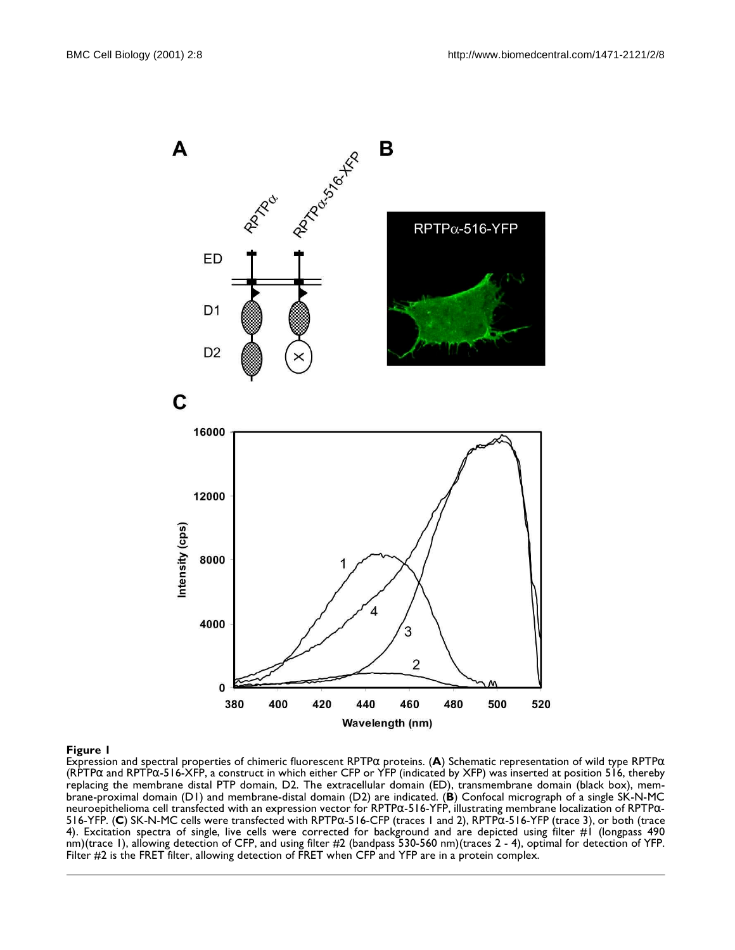

<span id="page-2-0"></span>Expression and spectral properties of chimeric fluorescent RPTPα proteins. (**A**) Schematic representation of wild type RPTPα (RPTPα and RPTPα-516-XFP, a construct in which either CFP or YFP (indicated by XFP) was inserted at position 516, thereby replacing the membrane distal PTP domain, D2. The extracellular domain (ED), transmembrane domain (black box), membrane-proximal domain (D1) and membrane-distal domain (D2) are indicated. (**B**) Confocal micrograph of a single SK-N-MC neuroepithelioma cell transfected with an expression vector for RPTP $\alpha$ -516-YFP, illustrating membrane localization of RPTP $\alpha$ -516-YFP. (**C**) SK-N-MC cells were transfected with RPTPα-516-CFP (traces 1 and 2), RPTPα-516-YFP (trace 3), or both (trace 4). Excitation spectra of single, live cells were corrected for background and are depicted using filter #1 (longpass 490 nm)(trace 1), allowing detection of CFP, and using filter #2 (bandpass 530-560 nm)(traces 2 - 4), optimal for detection of YFP. Filter #2 is the FRET filter, allowing detection of FRET when CFP and YFP are in a protein complex.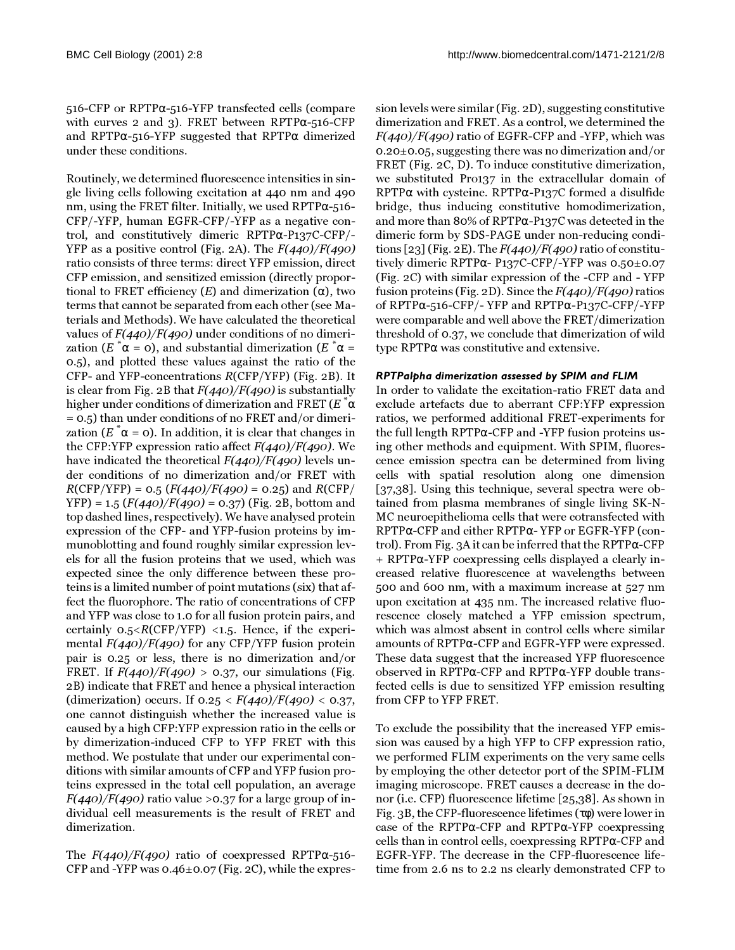516-CFP or RPTPα-516-YFP transfected cells (compare with curves 2 and 3). FRET between RPTP $\alpha$ -516-CFP and RPTP $\alpha$ -516-YFP suggested that RPTP $\alpha$  dimerized under these conditions.

Routinely, we determined fluorescence intensities in single living cells following excitation at 440 nm and 490 nm, using the FRET filter. Initially, we used RPTP $\alpha$ -516-CFP/-YFP, human EGFR-CFP/-YFP as a negative control, and constitutively dimeric RPTPα-P137C-CFP/- YFP as a positive control (Fig. [2A](#page-4-0)). The  $F(440)/F(490)$ ratio consists of three terms: direct YFP emission, direct CFP emission, and sensitized emission (directly proportional to FRET efficiency  $(E)$  and dimerization  $(α)$ , two terms that cannot be separated from each other (see Materials and Methods). We have calculated the theoretical values of  $F(440)/F(490)$  under conditions of no dimerization (E  $^*\alpha$  = 0), and substantial dimerization (E  $^*\alpha$  = 0.5), and plotted these values against the ratio of the CFP- and YFP-concentrations R(CFP/YFP) (Fig. [2](#page-4-0)B). It is clear from Fig. [2B](#page-4-0) that  $F(440)/F(490)$  is substantially higher under conditions of dimerization and FRET (E  $\mathring{~}^\ast\alpha$ = 0.5) than under conditions of no FRET and/or dimerization (E  $^*\alpha$  = 0). In addition, it is clear that changes in the CFP:YFP expression ratio affect  $F(440)/F(490)$ . We have indicated the theoretical  $F(440)/F(490)$  levels under conditions of no dimerization and/or FRET with  $R(CFP/YFP) = 0.5 (F(440)/F(490) = 0.25)$  and  $R(CFP/$  $YFP$ ) = 1.5 ( $F(440)/F(490)$  = 0.37) (Fig. [2B](#page-4-0), bottom and top dashed lines, respectively). We have analysed protein expression of the CFP- and YFP-fusion proteins by immunoblotting and found roughly similar expression levels for all the fusion proteins that we used, which was expected since the only difference between these proteins is a limited number of point mutations (six) that affect the fluorophore. The ratio of concentrations of CFP and YFP was close to 1.0 for all fusion protein pairs, and certainly  $0.5 \leq R(CFP/YFP) \leq 1.5$ . Hence, if the experimental  $F(440)/F(490)$  for any CFP/YFP fusion protein pair is 0.25 or less, there is no dimerization and/or FRET. If  $F(440)/F(490) > 0.37$ , our simulations (Fig. [2](#page-4-0)B) indicate that FRET and hence a physical interaction (dimerization) occurs. If  $0.25 < F(440)/F(490) < 0.37$ , one cannot distinguish whether the increased value is caused by a high CFP:YFP expression ratio in the cells or by dimerization-induced CFP to YFP FRET with this method. We postulate that under our experimental conditions with similar amounts of CFP and YFP fusion proteins expressed in the total cell population, an average  $F(440)/F(490)$  ratio value >0.37 for a large group of individual cell measurements is the result of FRET and dimerization.

The  $F(440)/F(490)$  ratio of coexpressed RPTP $\alpha$ -516-CFP and -YFP was  $0.46\pm0.07$  (Fig. 2C), while the expression levels were similar (Fig. 2D), suggesting constitutive dimerization and FRET. As a control, we determined the  $F(440)/F(490)$  ratio of EGFR-CFP and -YFP, which was 0.20±0.05, suggesting there was no dimerization and/or FRET (Fig. 2C, D). To induce constitutive dimerization, we substituted Pro137 in the extracellular domain of RPTPα with cysteine. RPTPα-P137C formed a disulfide bridge, thus inducing constitutive homodimerization, and more than 80% of RPTPα-P137C was detected in the dimeric form by SDS-PAGE under non-reducing conditions [23] (Fig. 2E). The  $F(440)/F(490)$  ratio of constitutively dimeric RPTPα- P137C-CFP/-YFP was 0.50±0.07 (Fig. 2C) with similar expression of the -CFP and - YFP fusion proteins (Fig. 2D). Since the  $F(440)/F(490)$  ratios of RPTPα-516-CFP/- YFP and RPTPα-P137C-CFP/-YFP were comparable and well above the FRET/dimerization threshold of 0.37, we conclude that dimerization of wild type RPTPα was constitutive and extensive.

## *RPTPalpha dimerization assessed by SPIM and FLIM*

In order to validate the excitation-ratio FRET data and exclude artefacts due to aberrant CFP:YFP expression ratios, we performed additional FRET-experiments for the full length RPTPα-CFP and -YFP fusion proteins using other methods and equipment. With SPIM, fluorescence emission spectra can be determined from living cells with spatial resolution along one dimension [[37](#page-13-2),[38](#page-13-3)]. Using this technique, several spectra were obtained from plasma membranes of single living SK-N-MC neuroepithelioma cells that were cotransfected with RPTPα-CFP and either RPTPα- YFP or EGFR-YFP (control). From Fig. [3](#page-5-0)A it can be inferred that the RPTPα-CFP + RPTPα-YFP coexpressing cells displayed a clearly increased relative fluorescence at wavelengths between 500 and 600 nm, with a maximum increase at 527 nm upon excitation at 435 nm. The increased relative fluorescence closely matched a YFP emission spectrum, which was almost absent in control cells where similar amounts of RPTPα-CFP and EGFR-YFP were expressed. These data suggest that the increased YFP fluorescence observed in RPTPα-CFP and RPTPα-YFP double transfected cells is due to sensitized YFP emission resulting from CFP to YFP FRET.

To exclude the possibility that the increased YFP emission was caused by a high YFP to CFP expression ratio, we performed FLIM experiments on the very same cells by employing the other detector port of the SPIM-FLIM imaging microscope. FRET causes a decrease in the donor (i.e. CFP) fluorescence lifetime [[25](#page-12-24),[38](#page-13-3)]. As shown in Fig. [3](#page-5-0)B, the CFP-fluorescence lifetimes (τφ) were lower in case of the RPTPα-CFP and RPTPα-YFP coexpressing cells than in control cells, coexpressing RPTPα-CFP and EGFR-YFP. The decrease in the CFP-fluorescence lifetime from 2.6 ns to 2.2 ns clearly demonstrated CFP to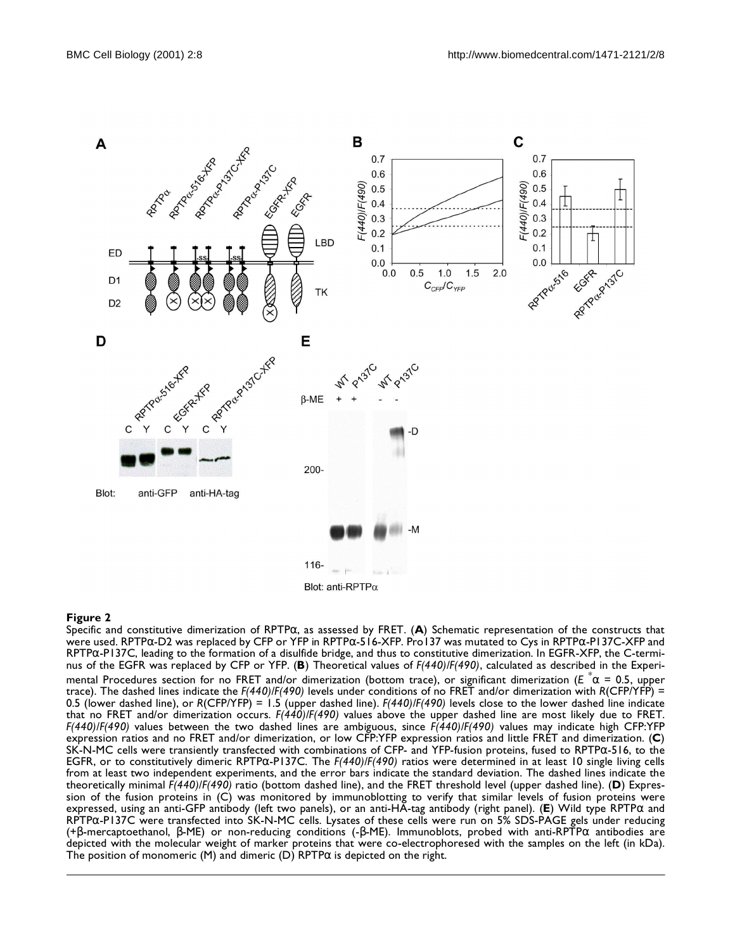

<span id="page-4-0"></span>Specific and constitutive dimerization of RPTPα, as assessed by FRET. (**A**) Schematic representation of the constructs that were used. RPTPα-D2 was replaced by CFP or YFP in RPTPα-516-XFP. Pro137 was mutated to Cys in RPTPα-P137C-XFP and RPTPα-P137C, leading to the formation of a disulfide bridge, and thus to constitutive dimerization. In EGFR-XFP, the C-terminus of the EGFR was replaced by CFP or YFP. (**B**) Theoretical values of *F(440)/F(490)*, calculated as described in the Experimental Procedures section for no FRET and/or dimerization (bottom trace), or significant dimerization (*E* \* α = 0.5, upper trace). The dashed lines indicate the *F(440)/F(490)* levels under conditions of no FRET and/or dimerization with *R*(CFP/YFP) = 0.5 (lower dashed line), or *R*(CFP/YFP) = 1.5 (upper dashed line). *F(440)/F(490)* levels close to the lower dashed line indicate that no FRET and/or dimerization occurs. *F(440)/F(490)* values above the upper dashed line are most likely due to FRET. *F(440)/F(490)* values between the two dashed lines are ambiguous, since *F(440)/F(490)* values may indicate high CFP:YFP expression ratios and no FRET and/or dimerization, or low CFP:YFP expression ratios and little FRET and dimerization. (**C**) SK-N-MC cells were transiently transfected with combinations of CFP- and YFP-fusion proteins, fused to RPTPα-516, to the EGFR, or to constitutively dimeric RPTPα-P137C. The *F(440)/F(490)* ratios were determined in at least 10 single living cells from at least two independent experiments, and the error bars indicate the standard deviation. The dashed lines indicate the theoretically minimal *F(440)/F(490)* ratio (bottom dashed line), and the FRET threshold level (upper dashed line). (**D**) Expression of the fusion proteins in (C) was monitored by immunoblotting to verify that similar levels of fusion proteins were expressed, using an anti-GFP antibody (left two panels), or an anti-HA-tag antibody (right panel). (**E**) Wild type RPTPα and RPTPα-P137C were transfected into SK-N-MC cells. Lysates of these cells were run on 5% SDS-PAGE gels under reducing (+β-mercaptoethanol, β-ME) or non-reducing conditions (-β-ME). Immunoblots, probed with anti-RPTPα antibodies are depicted with the molecular weight of marker proteins that were co-electrophoresed with the samples on the left (in kDa). The position of monomeric (M) and dimeric (D) RPTP $\alpha$  is depicted on the right.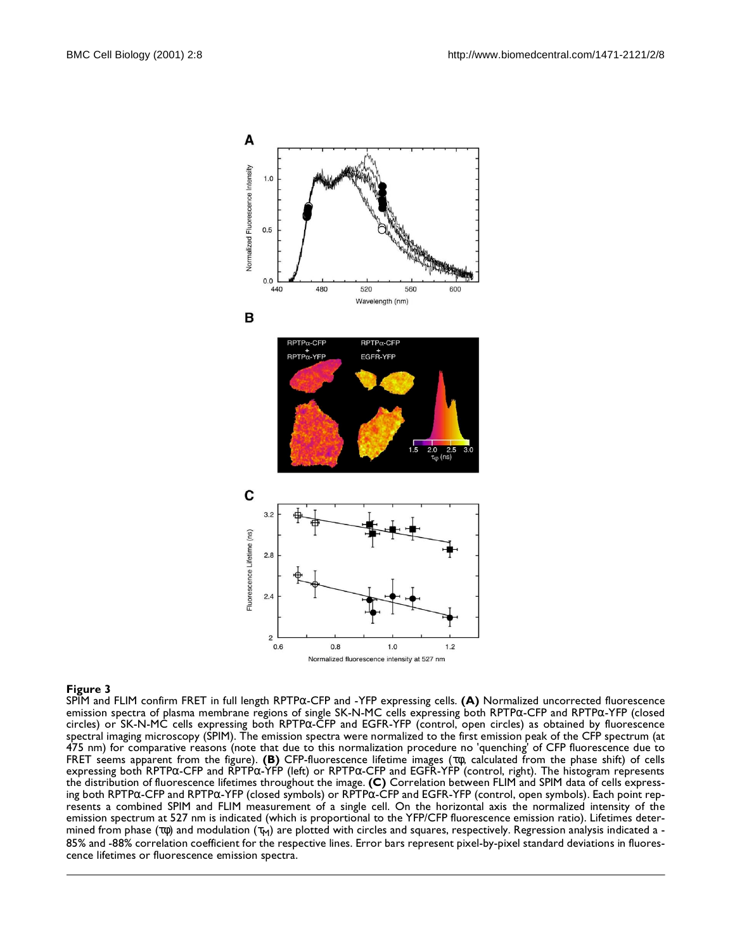

<span id="page-5-0"></span>SPIM and FLIM confirm FRET in full length RPTPα-CFP and -YFP expressing cells. **(A)** Normalized uncorrected fluorescence emission spectra of plasma membrane regions of single SK-N-MC cells expressing both RPTPα-CFP and RPTPα-YFP (closed circles) or SK-N-MC cells expressing both RPTPα-CFP and EGFR-YFP (control, open circles) as obtained by fluorescence spectral imaging microscopy (SPIM). The emission spectra were normalized to the first emission peak of the CFP spectrum (at 475 nm) for comparative reasons (note that due to this normalization procedure no 'quenching' of CFP fluorescence due to FRET seems apparent from the figure). **(B)** CFP-fluorescence lifetime images (τφ, calculated from the phase shift) of cells expressing both RPTPα-CFP and RPTPα-YFP (left) or RPTPα-CFP and EGFR-YFP (control, right). The histogram represents the distribution of fluorescence lifetimes throughout the image. **(C)** Correlation between FLIM and SPIM data of cells expressing both RPTPα-CFP and RPTPα-YFP (closed symbols) or RPTPα-CFP and EGFR-YFP (control, open symbols). Each point represents a combined SPIM and FLIM measurement of a single cell. On the horizontal axis the normalized intensity of the emission spectrum at 527 nm is indicated (which is proportional to the YFP/CFP fluorescence emission ratio). Lifetimes determined from phase (τφ) and modulation (τ<sub>M</sub>) are plotted with circles and squares, respectively. Regression analysis indicated a -85% and -88% correlation coefficient for the respective lines. Error bars represent pixel-by-pixel standard deviations in fluorescence lifetimes or fluorescence emission spectra.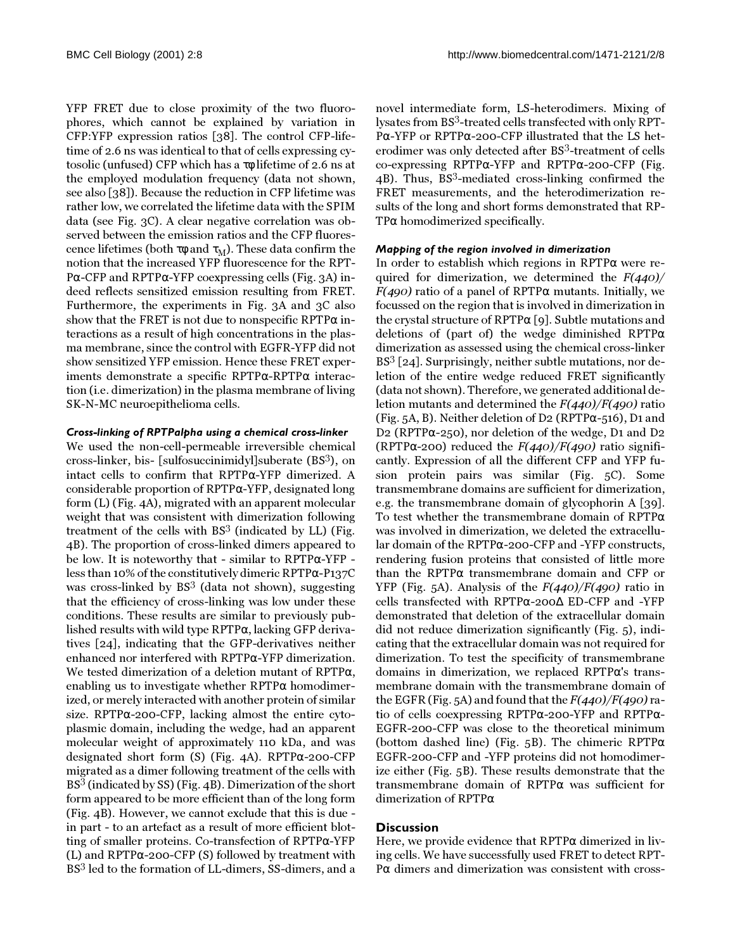YFP FRET due to close proximity of the two fluorophores, which cannot be explained by variation in CFP:YFP expression ratios [\[38\]](#page-13-3). The control CFP-lifetime of 2.6 ns was identical to that of cells expressing cytosolic (unfused) CFP which has a τφ lifetime of 2.6 ns at the employed modulation frequency (data not shown, see also [[38](#page-13-3)]). Because the reduction in CFP lifetime was rather low, we correlated the lifetime data with the SPIM data (see Fig. [3C](#page-5-0)). A clear negative correlation was observed between the emission ratios and the CFP fluorescence lifetimes (both τφ and  $\tau_M$ ). These data confirm the notion that the increased YFP fluorescence for the RPT-Pα-CFP and RPTPα-YFP coexpressing cells (Fig. [3](#page-5-0)A) indeed reflects sensitized emission resulting from FRET. Furthermore, the experiments in Fig. [3](#page-5-0)A and [3C](#page-5-0) also show that the FRET is not due to nonspecific RPTP $\alpha$  interactions as a result of high concentrations in the plasma membrane, since the control with EGFR-YFP did not show sensitized YFP emission. Hence these FRET experiments demonstrate a specific RPTPα-RPTPα interaction (i.e. dimerization) in the plasma membrane of living SK-N-MC neuroepithelioma cells.

## *Cross-linking of RPTPalpha using a chemical cross-linker*

We used the non-cell-permeable irreversible chemical cross-linker, bis- [sulfosuccinimidyl]suberate (BS3), on intact cells to confirm that RPTPα-YFP dimerized. A considerable proportion of RPTPα-YFP, designated long form (L) (Fig. [4](#page-7-0)A), migrated with an apparent molecular weight that was consistent with dimerization following treatment of the cells with  $BS<sup>3</sup>$  (indicated by LL) (Fig. [4B](#page-7-0)). The proportion of cross-linked dimers appeared to be low. It is noteworthy that - similar to RPTPα-YFP less than 10% of the constitutively dimeric RPTPα-P137C was cross-linked by  $BS^3$  (data not shown), suggesting that the efficiency of cross-linking was low under these conditions. These results are similar to previously published results with wild type RPTPα, lacking GFP derivatives [\[24](#page-12-23)], indicating that the GFP-derivatives neither enhanced nor interfered with RPTPα-YFP dimerization. We tested dimerization of a deletion mutant of RPTPα, enabling us to investigate whether  $RPTP\alpha$  homodimerized, or merely interacted with another protein of similar size. RPTPα-200-CFP, lacking almost the entire cytoplasmic domain, including the wedge, had an apparent molecular weight of approximately 110 kDa, and was designated short form (S) (Fig. [4](#page-7-0)A). RPTPα-200-CFP migrated as a dimer following treatment of the cells with BS3 (indicated by SS) (Fig. [4](#page-7-0)B). Dimerization of the short form appeared to be more efficient than of the long form (Fig. [4](#page-7-0)B). However, we cannot exclude that this is due in part - to an artefact as a result of more efficient blotting of smaller proteins. Co-transfection of RPTPα-YFP (L) and RPTPα-200-CFP (S) followed by treatment with BS3 led to the formation of LL-dimers, SS-dimers, and a

novel intermediate form, LS-heterodimers. Mixing of lysates from BS<sup>3</sup>-treated cells transfected with only RPT-Pα-YFP or RPTPα-200-CFP illustrated that the LS heterodimer was only detected after BS<sup>3</sup>-treatment of cells co-expressing RPTPα-YFP and RPTPα-200-CFP (Fig. [4](#page-7-0)B). Thus, BS<sup>3</sup>-mediated cross-linking confirmed the FRET measurements, and the heterodimerization results of the long and short forms demonstrated that RP-TPα homodimerized specifically.

#### *Mapping of the region involved in dimerization*

In order to establish which regions in RPTPα were required for dimerization, we determined the  $F(440)$ /  $F(490)$  ratio of a panel of RPTP $\alpha$  mutants. Initially, we focussed on the region that is involved in dimerization in the crystal structure of RPTP $\alpha$  [\[9\]](#page-12-8). Subtle mutations and deletions of (part of) the wedge diminished RPTPα dimerization as assessed using the chemical cross-linker  $BS<sup>3</sup>$  [\[24](#page-12-23)]. Surprisingly, neither subtle mutations, nor deletion of the entire wedge reduced FRET significantly (data not shown). Therefore, we generated additional deletion mutants and determined the  $F(440)/F(490)$  ratio (Fig. [5](#page-8-0)A, B). Neither deletion of D2 (RPTP $\alpha$ -516), D1 and D2 (RPTPα-250), nor deletion of the wedge, D1 and D2 (RPTP $\alpha$ -200) reduced the  $F(440)/F(490)$  ratio significantly. Expression of all the different CFP and YFP fusion protein pairs was similar (Fig. [5C](#page-8-0)). Some transmembrane domains are sufficient for dimerization, e.g. the transmembrane domain of glycophorin A [[39\]](#page-13-4). To test whether the transmembrane domain of RPTPα was involved in dimerization, we deleted the extracellular domain of the RPTPα-200-CFP and -YFP constructs, rendering fusion proteins that consisted of little more than the RPTPα transmembrane domain and CFP or YFP (Fig. [5](#page-8-0)A). Analysis of the  $F(440)/F(490)$  ratio in cells transfected with RPTPα-200∆ ED-CFP and -YFP demonstrated that deletion of the extracellular domain did not reduce dimerization significantly (Fig. [5\)](#page-8-0), indicating that the extracellular domain was not required for dimerization. To test the specificity of transmembrane domains in dimerization, we replaced RPTPα's transmembrane domain with the transmembrane domain of the EGFR (Fig. [5](#page-8-0)A) and found that the  $F(440)/F(490)$  ratio of cells coexpressing RPTPα-200-YFP and RPTPα-EGFR-200-CFP was close to the theoretical minimum (bottom dashed line) (Fig. [5](#page-8-0)B). The chimeric RPTPα EGFR-200-CFP and -YFP proteins did not homodimerize either (Fig. [5](#page-8-0)B). These results demonstrate that the transmembrane domain of RPTPα was sufficient for dimerization of RPTPα

## **Discussion**

Here, we provide evidence that RPTPα dimerized in living cells. We have successfully used FRET to detect RPT-Pα dimers and dimerization was consistent with cross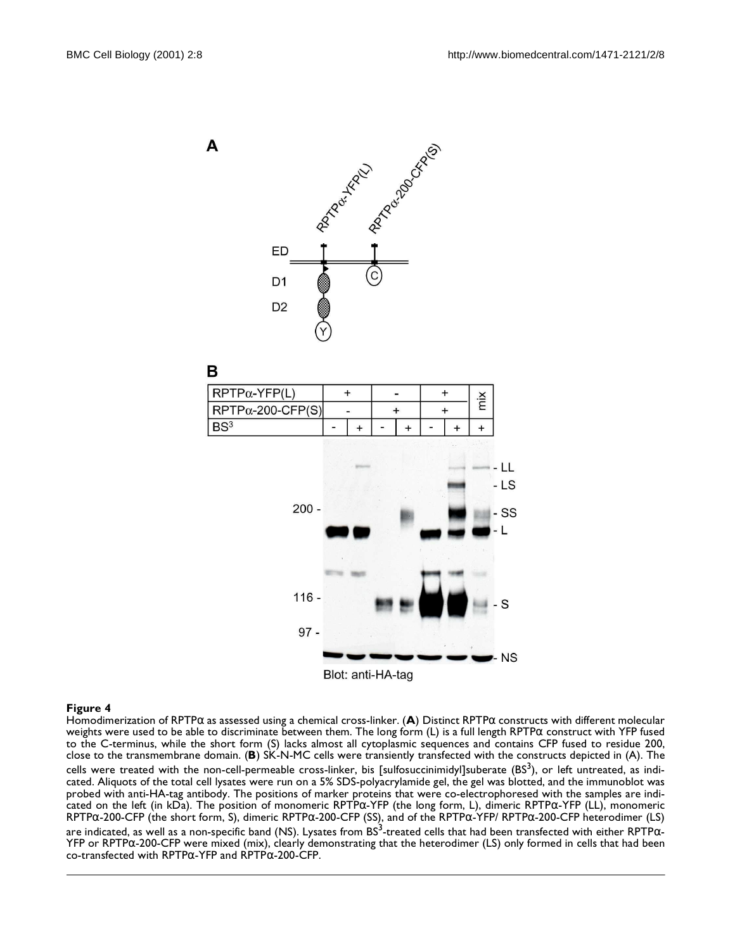B





#### <span id="page-7-0"></span>**Figure 4**

Homodimerization of RPTPα as assessed using a chemical cross-linker. (**A**) Distinct RPTPα constructs with different molecular weights were used to be able to discriminate between them. The long form (L) is a full length RPTPα construct with YFP fused to the C-terminus, while the short form (S) lacks almost all cytoplasmic sequences and contains CFP fused to residue 200, close to the transmembrane domain. (**B**) SK-N-MC cells were transiently transfected with the constructs depicted in (A). The cells were treated with the non-cell-permeable cross-linker, bis [sulfosuccinimidyl]suberate (BS $^3$ ), or left untreated, as indicated. Aliquots of the total cell lysates were run on a 5% SDS-polyacrylamide gel, the gel was blotted, and the immunoblot was probed with anti-HA-tag antibody. The positions of marker proteins that were co-electrophoresed with the samples are indicated on the left (in kDa). The position of monomeric RPTPα-YFP (the long form, L), dimeric RPTPα-YFP (LL), monomeric RPTPα-200-CFP (the short form, S), dimeric RPTPα-200-CFP (SS), and of the RPTPα-YFP/ RPTPα-200-CFP heterodimer (LS)

are indicated, as well as a non-specific band (NS). Lysates from BS<sup>3</sup>-treated cells that had been transfected with either RPTP $\alpha$ -YFP or RPTPα-200-CFP were mixed (mix), clearly demonstrating that the heterodimer (LS) only formed in cells that had been co-transfected with RPTP $\alpha$ -YFP and RPTP $\alpha$ -200-CFP.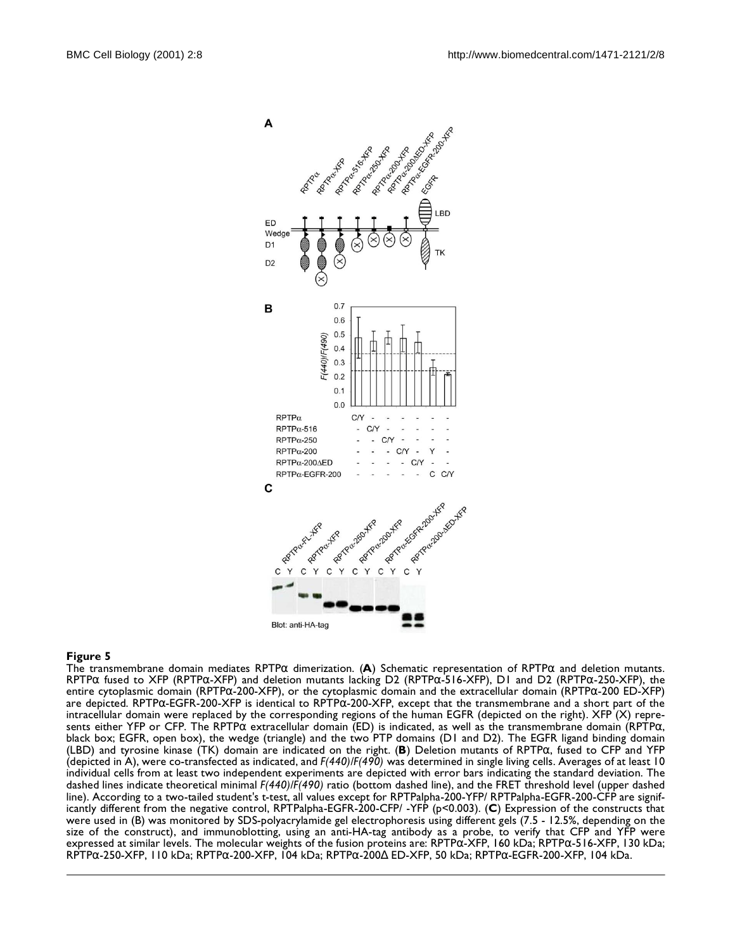

<span id="page-8-0"></span>The transmembrane domain mediates RPTPα dimerization. (**A**) Schematic representation of RPTPα and deletion mutants. RPTP $\alpha$  fused to XFP (RPTP $\alpha$ -XFP) and deletion mutants lacking D2 (RPTP $\alpha$ -516-XFP), D1 and D2 (RPTP $\alpha$ -250-XFP), the entire cytoplasmic domain (RPTPα-200-XFP), or the cytoplasmic domain and the extracellular domain (RPTPα-200 ED-XFP) are depicted. RPTPα-EGFR-200-XFP is identical to RPTPα-200-XFP, except that the transmembrane and a short part of the intracellular domain were replaced by the corresponding regions of the human EGFR (depicted on the right). XFP (X) represents either YFP or CFP. The RPTPα extracellular domain (ED) is indicated, as well as the transmembrane domain (RPTPα, black box; EGFR, open box), the wedge (triangle) and the two PTP domains (D1 and D2). The EGFR ligand binding domain (LBD) and tyrosine kinase (TK) domain are indicated on the right. (**B**) Deletion mutants of RPTPα, fused to CFP and YFP (depicted in A), were co-transfected as indicated, and *F(440)/F(490)* was determined in single living cells. Averages of at least 10 individual cells from at least two independent experiments are depicted with error bars indicating the standard deviation. The dashed lines indicate theoretical minimal *F(440)/F(490)* ratio (bottom dashed line), and the FRET threshold level (upper dashed line). According to a two-tailed student's t-test, all values except for RPTPalpha-200-YFP/ RPTPalpha-EGFR-200-CFP are significantly different from the negative control, RPTPalpha-EGFR-200-CFP/ -YFP (p<0.003). (**C**) Expression of the constructs that were used in (B) was monitored by SDS-polyacrylamide gel electrophoresis using different gels (7.5 - 12.5%, depending on the size of the construct), and immunoblotting, using an anti-HA-tag antibody as a probe, to verify that CFP and YFP were expressed at similar levels. The molecular weights of the fusion proteins are: RPTPα-XFP, 160 kDa; RPTPα-516-XFP, 130 kDa; RPTPα-250-XFP, 110 kDa; RPTPα-200-XFP, 104 kDa; RPTPα-200∆ ED-XFP, 50 kDa; RPTPα-EGFR-200-XFP, 104 kDa.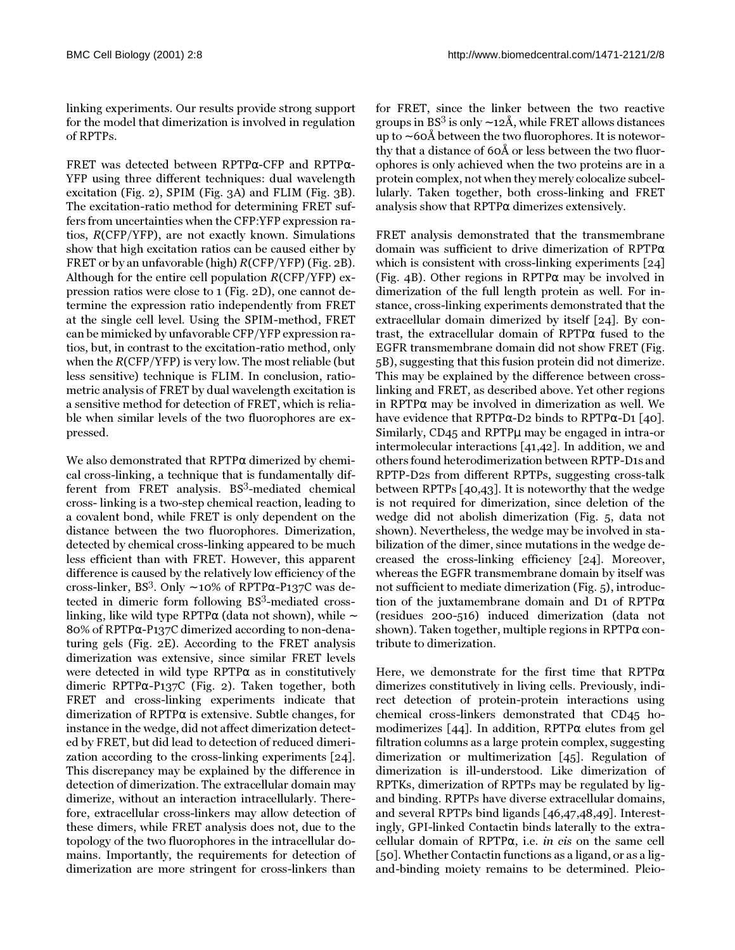linking experiments. Our results provide strong support for the model that dimerization is involved in regulation of RPTPs.

FRET was detected between RPTPα-CFP and RPTPα-YFP using three different techniques: dual wavelength excitation (Fig. [2](#page-4-0)), SPIM (Fig. [3](#page-5-0)A) and FLIM (Fig. [3](#page-5-0)B). The excitation-ratio method for determining FRET suffers from uncertainties when the CFP:YFP expression ratios, R(CFP/YFP), are not exactly known. Simulations show that high excitation ratios can be caused either by FRET or by an unfavorable (high) R(CFP/YFP) (Fig. [2](#page-4-0)B). Although for the entire cell population R(CFP/YFP) expression ratios were close to 1 (Fig. [2](#page-4-0)D), one cannot determine the expression ratio independently from FRET at the single cell level. Using the SPIM-method, FRET can be mimicked by unfavorable CFP/YFP expression ratios, but, in contrast to the excitation-ratio method, only when the R(CFP/YFP) is very low. The most reliable (but less sensitive) technique is FLIM. In conclusion, ratiometric analysis of FRET by dual wavelength excitation is a sensitive method for detection of FRET, which is reliable when similar levels of the two fluorophores are expressed.

We also demonstrated that  $RPTP\alpha$  dimerized by chemical cross-linking, a technique that is fundamentally different from FRET analysis.  $BS^3$ -mediated chemical cross- linking is a two-step chemical reaction, leading to a covalent bond, while FRET is only dependent on the distance between the two fluorophores. Dimerization, detected by chemical cross-linking appeared to be much less efficient than with FRET. However, this apparent difference is caused by the relatively low efficiency of the cross-linker, BS<sup>3</sup>. Only ~ 10% of RPTP $\alpha$ -P137C was detected in dimeric form following BS3-mediated crosslinking, like wild type RPTPα (data not shown), while ∼ 80% of RPTPα-P137C dimerized according to non-denaturing gels (Fig. [2E](#page-4-0)). According to the FRET analysis dimerization was extensive, since similar FRET levels were detected in wild type RPTPα as in constitutively dimeric RPTPα-P137C (Fig. [2\)](#page-4-0). Taken together, both FRET and cross-linking experiments indicate that dimerization of  $RPTP\alpha$  is extensive. Subtle changes, for instance in the wedge, did not affect dimerization detected by FRET, but did lead to detection of reduced dimerization according to the cross-linking experiments [[24\]](#page-12-23). This discrepancy may be explained by the difference in detection of dimerization. The extracellular domain may dimerize, without an interaction intracellularly. Therefore, extracellular cross-linkers may allow detection of these dimers, while FRET analysis does not, due to the topology of the two fluorophores in the intracellular domains. Importantly, the requirements for detection of dimerization are more stringent for cross-linkers than

for FRET, since the linker between the two reactive groups in BS<sup>3</sup> is only ~ 12Å, while FRET allows distances up to ∼ 60Å between the two fluorophores. It is noteworthy that a distance of 60Å or less between the two fluorophores is only achieved when the two proteins are in a protein complex, not when they merely colocalize subcellularly. Taken together, both cross-linking and FRET analysis show that RPTPα dimerizes extensively.

FRET analysis demonstrated that the transmembrane domain was sufficient to drive dimerization of RPTPα which is consistent with cross-linking experiments [[24](#page-12-23)] (Fig. [4](#page-7-0)B). Other regions in RPTPα may be involved in dimerization of the full length protein as well. For instance, cross-linking experiments demonstrated that the extracellular domain dimerized by itself [\[24](#page-12-23)]. By contrast, the extracellular domain of RPTPα fused to the EGFR transmembrane domain did not show FRET (Fig. [5](#page-8-0)B), suggesting that this fusion protein did not dimerize. This may be explained by the difference between crosslinking and FRET, as described above. Yet other regions in RPTPα may be involved in dimerization as well. We have evidence that RPTP $\alpha$ -D2 binds to RPTP $\alpha$ -D1 [\[40\]](#page-13-5). Similarly, CD45 and RPTPµ may be engaged in intra-or intermolecular interactions [\[41](#page-13-6),[42\]](#page-13-7). In addition, we and others found heterodimerization between RPTP-D1s and RPTP-D2s from different RPTPs, suggesting cross-talk between RPTPs [\[40,](#page-13-5)[43](#page-13-8)]. It is noteworthy that the wedge is not required for dimerization, since deletion of the wedge did not abolish dimerization (Fig. [5,](#page-8-0) data not shown). Nevertheless, the wedge may be involved in stabilization of the dimer, since mutations in the wedge decreased the cross-linking efficiency [[24](#page-12-23)]. Moreover, whereas the EGFR transmembrane domain by itself was not sufficient to mediate dimerization (Fig. [5\)](#page-8-0), introduction of the juxtamembrane domain and D1 of RPTPα (residues 200-516) induced dimerization (data not shown). Taken together, multiple regions in  $\text{RPTP}\alpha$  contribute to dimerization.

Here, we demonstrate for the first time that  $RPTP\alpha$ dimerizes constitutively in living cells. Previously, indirect detection of protein-protein interactions using chemical cross-linkers demonstrated that CD45 homodimerizes [\[44](#page-13-9)]. In addition, RPTPα elutes from gel filtration columns as a large protein complex, suggesting dimerization or multimerization [\[45](#page-13-10)]. Regulation of dimerization is ill-understood. Like dimerization of RPTKs, dimerization of RPTPs may be regulated by ligand binding. RPTPs have diverse extracellular domains, and several RPTPs bind ligands [[46](#page-13-11),[47](#page-13-12),[48](#page-13-13),[49\]](#page-13-14). Interestingly, GPI-linked Contactin binds laterally to the extracellular domain of RPTPα, i.e. in cis on the same cell [[50](#page-13-15)]. Whether Contactin functions as a ligand, or as a ligand-binding moiety remains to be determined. Pleio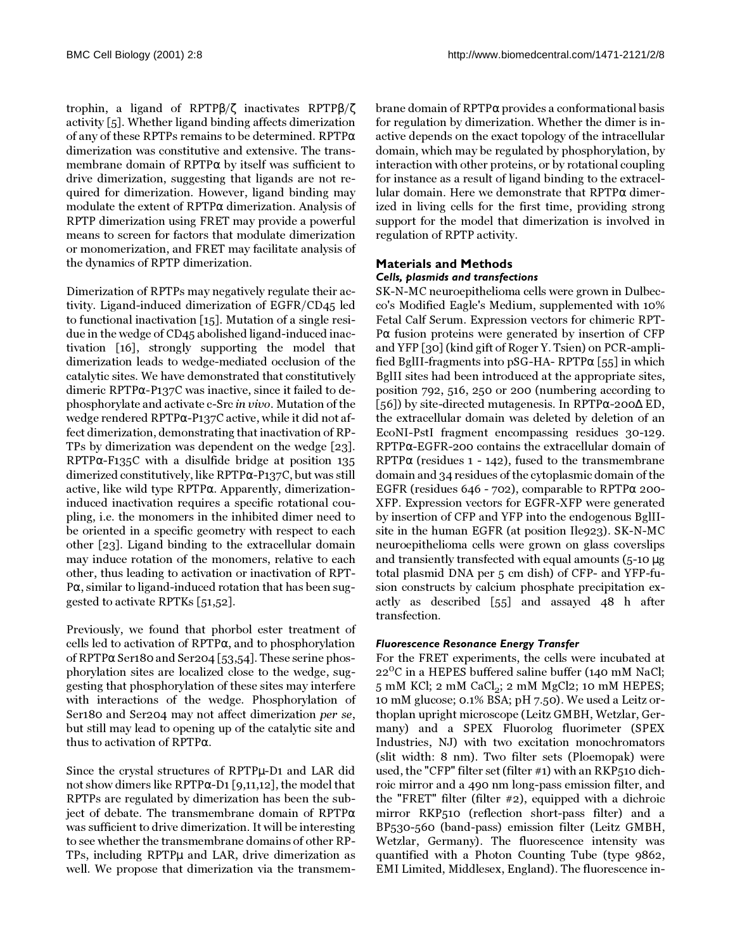trophin, a ligand of RPTPβ/ζ inactivates RPTPβ/ζ activity [\[5\]](#page-12-4). Whether ligand binding affects dimerization of any of these RPTPs remains to be determined. RPTPα dimerization was constitutive and extensive. The transmembrane domain of RPTPα by itself was sufficient to drive dimerization, suggesting that ligands are not required for dimerization. However, ligand binding may modulate the extent of RPTPα dimerization. Analysis of RPTP dimerization using FRET may provide a powerful means to screen for factors that modulate dimerization or monomerization, and FRET may facilitate analysis of the dynamics of RPTP dimerization.

Dimerization of RPTPs may negatively regulate their activity. Ligand-induced dimerization of EGFR/CD45 led to functional inactivation [[15](#page-12-14)]. Mutation of a single residue in the wedge of CD45 abolished ligand-induced inactivation [\[16\]](#page-12-15), strongly supporting the model that dimerization leads to wedge-mediated occlusion of the catalytic sites. We have demonstrated that constitutively dimeric RPTPα-P137C was inactive, since it failed to dephosphorylate and activate c-Src in vivo. Mutation of the wedge rendered RPTPα-P137C active, while it did not affect dimerization, demonstrating that inactivation of RP-TPs by dimerization was dependent on the wedge [\[23\]](#page-12-22). RPTPα-F135C with a disulfide bridge at position 135 dimerized constitutively, like RPTPα-P137C, but was still active, like wild type RPTPα. Apparently, dimerizationinduced inactivation requires a specific rotational coupling, i.e. the monomers in the inhibited dimer need to be oriented in a specific geometry with respect to each other [\[23](#page-12-22)]. Ligand binding to the extracellular domain may induce rotation of the monomers, relative to each other, thus leading to activation or inactivation of RPT-Pα, similar to ligand-induced rotation that has been suggested to activate RPTKs [\[51](#page-13-16)[,52](#page-13-17)].

Previously, we found that phorbol ester treatment of cells led to activation of RPTPα, and to phosphorylation of RPTPα Ser180 and Ser204 [[53](#page-13-18),[54\]](#page-13-19). These serine phosphorylation sites are localized close to the wedge, suggesting that phosphorylation of these sites may interfere with interactions of the wedge. Phosphorylation of Ser180 and Ser204 may not affect dimerization per se, but still may lead to opening up of the catalytic site and thus to activation of RPTPα.

Since the crystal structures of RPTPµ-D1 and LAR did not show dimers like RPTPα-D1 [[9,](#page-12-8)[11,](#page-12-10)[12\]](#page-12-11), the model that RPTPs are regulated by dimerization has been the subject of debate. The transmembrane domain of RPTPα was sufficient to drive dimerization. It will be interesting to see whether the transmembrane domains of other RP-TPs, including RPTPµ and LAR, drive dimerization as well. We propose that dimerization via the transmembrane domain of RPTPα provides a conformational basis for regulation by dimerization. Whether the dimer is inactive depends on the exact topology of the intracellular domain, which may be regulated by phosphorylation, by interaction with other proteins, or by rotational coupling for instance as a result of ligand binding to the extracellular domain. Here we demonstrate that RPTPα dimerized in living cells for the first time, providing strong support for the model that dimerization is involved in regulation of RPTP activity.

## **Materials and Methods** *Cells, plasmids and transfections*

SK-N-MC neuroepithelioma cells were grown in Dulbecco's Modified Eagle's Medium, supplemented with 10% Fetal Calf Serum. Expression vectors for chimeric RPT-Pα fusion proteins were generated by insertion of CFP and YFP [\[30\]](#page-12-29) (kind gift of Roger Y. Tsien) on PCR-amplified BglII-fragments into pSG-HA- RPTPα [\[55](#page-13-20)] in which BglII sites had been introduced at the appropriate sites, position 792, 516, 250 or 200 (numbering according to [[56](#page-13-21)]) by site-directed mutagenesis. In RPTPα-200∆ ED, the extracellular domain was deleted by deletion of an EcoNI-PstI fragment encompassing residues 30-129. RPTPα-EGFR-200 contains the extracellular domain of RPTP $\alpha$  (residues 1 - 142), fused to the transmembrane domain and 34 residues of the cytoplasmic domain of the EGFR (residues 646 - 702), comparable to RPTP $\alpha$  200-XFP. Expression vectors for EGFR-XFP were generated by insertion of CFP and YFP into the endogenous BglIIsite in the human EGFR (at position Ile923). SK-N-MC neuroepithelioma cells were grown on glass coverslips and transiently transfected with equal amounts (5-10 µg total plasmid DNA per 5 cm dish) of CFP- and YFP-fusion constructs by calcium phosphate precipitation exactly as described [\[55\]](#page-13-20) and assayed 48 h after transfection.

## *Fluorescence Resonance Energy Transfer*

For the FRET experiments, the cells were incubated at  $22^{\circ}$ C in a HEPES buffered saline buffer (140 mM NaCl;  $5 \text{ mM}$  KCl; 2 mM CaCl<sub>2</sub>; 2 mM MgCl2; 10 mM HEPES; 10 mM glucose; 0.1% BSA; pH 7.50). We used a Leitz orthoplan upright microscope (Leitz GMBH, Wetzlar, Germany) and a SPEX Fluorolog fluorimeter (SPEX Industries, NJ) with two excitation monochromators (slit width: 8 nm). Two filter sets (Ploemopak) were used, the "CFP" filter set (filter #1) with an RKP510 dichroic mirror and a 490 nm long-pass emission filter, and the "FRET" filter (filter #2), equipped with a dichroic mirror RKP510 (reflection short-pass filter) and a BP530-560 (band-pass) emission filter (Leitz GMBH, Wetzlar, Germany). The fluorescence intensity was quantified with a Photon Counting Tube (type 9862, EMI Limited, Middlesex, England). The fluorescence in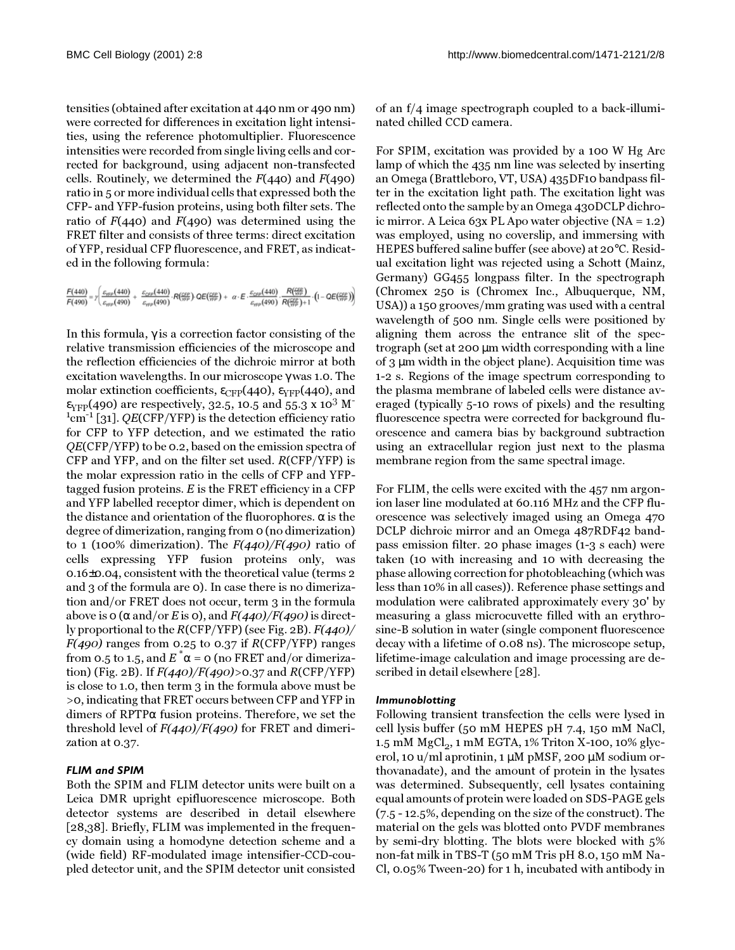tensities (obtained after excitation at 440 nm or 490 nm) were corrected for differences in excitation light intensities, using the reference photomultiplier. Fluorescence intensities were recorded from single living cells and corrected for background, using adjacent non-transfected cells. Routinely, we determined the  $F(440)$  and  $F(490)$ ratio in 5 or more individual cells that expressed both the CFP- and YFP-fusion proteins, using both filter sets. The ratio of  $F(440)$  and  $F(490)$  was determined using the FRET filter and consists of three terms: direct excitation of YFP, residual CFP fluorescence, and FRET, as indicated in the following formula:

```
\frac{F(440)}{F(490)} = \gamma \left( \frac{\varepsilon_{\rm SPP}(440)}{\varepsilon_{\rm SPP}(490)} + \frac{\varepsilon_{\rm CPP}(440)}{\varepsilon_{\rm SPP}(490)} \cdot R(\frac{\varepsilon_{\rm SPP}}{\sqrt{\gamma_{\rm P}}}) \cdot \mathsf{QE}(\frac{\varepsilon_{\rm SPP}}{\sqrt{\gamma_{\rm P}}}) + \alpha \cdot \mathsf{E} \cdot \frac{\varepsilon_{\rm CPP}(440)}{\varepsilon_{\rm SPP}(490)} \cdot \frac{R(\frac{\varepsilon_{\rm SPP}}{\sqrt{\gamma_{\rm P}}})}{R(\frac{\varepsilon_{\rm
```
In this formula,  $\gamma$  is a correction factor consisting of the relative transmission efficiencies of the microscope and the reflection efficiencies of the dichroic mirror at both excitation wavelengths. In our microscope γ was 1.0. The molar extinction coefficients,  $\varepsilon_{\text{CFP}}(440)$ ,  $\varepsilon_{\text{YFP}}(440)$ , and  $\varepsilon_{VFP}(490)$  are respectively, 32.5, 10.5 and 55.3 x 10<sup>3</sup> M<sup>-</sup>  $1 \text{cm}^{-1}$  [[31](#page-12-30)]. QE(CFP/YFP) is the detection efficiency ratio for CFP to YFP detection, and we estimated the ratio QE(CFP/YFP) to be 0.2, based on the emission spectra of CFP and YFP, and on the filter set used. R(CFP/YFP) is the molar expression ratio in the cells of CFP and YFPtagged fusion proteins.  $E$  is the FRET efficiency in a CFP and YFP labelled receptor dimer, which is dependent on the distance and orientation of the fluorophores. α is the degree of dimerization, ranging from 0 (no dimerization) to 1 (100% dimerization). The  $F(440)/F(490)$  ratio of cells expressing YFP fusion proteins only, was 0.16±0.04, consistent with the theoretical value (terms 2 and 3 of the formula are 0). In case there is no dimerization and/or FRET does not occur, term 3 in the formula above is 0 ( $\alpha$  and/or E is 0), and  $F(440)/F(490)$  is directly proportional to the  $R(CFP/YFP)$  (see Fig. [2B](#page-4-0)).  $F(440)$ /  $F(490)$  ranges from 0.25 to 0.37 if  $R(CFP/YFP)$  ranges from 0.5 to 1.5, and  $E^*\alpha$  = 0 (no FRET and/or dimeriza-tion) (Fig. [2](#page-4-0)B). If  $F(440)/F(490)$ >0.37 and  $R(CFP/YFP)$ is close to 1.0, then term 3 in the formula above must be >0, indicating that FRET occurs between CFP and YFP in dimers of RPTPα fusion proteins. Therefore, we set the threshold level of  $F(440)/F(490)$  for FRET and dimerization at 0.37.

## *FLIM and SPIM*

Both the SPIM and FLIM detector units were built on a Leica DMR upright epifluorescence microscope. Both detector systems are described in detail elsewhere [[28](#page-12-27),[38](#page-13-3)]. Briefly, FLIM was implemented in the frequency domain using a homodyne detection scheme and a (wide field) RF-modulated image intensifier-CCD-coupled detector unit, and the SPIM detector unit consisted

of an f/4 image spectrograph coupled to a back-illuminated chilled CCD camera.

For SPIM, excitation was provided by a 100 W Hg Arc lamp of which the 435 nm line was selected by inserting an Omega (Brattleboro, VT, USA) 435DF10 bandpass filter in the excitation light path. The excitation light was reflected onto the sample by an Omega 430DCLP dichroic mirror. A Leica 63x PL Apo water objective (NA = 1.2) was employed, using no coverslip, and immersing with HEPES buffered saline buffer (see above) at 20°C. Residual excitation light was rejected using a Schott (Mainz, Germany) GG455 longpass filter. In the spectrograph (Chromex 250 is (Chromex Inc., Albuquerque, NM, USA)) a 150 grooves/mm grating was used with a central wavelength of 500 nm. Single cells were positioned by aligning them across the entrance slit of the spectrograph (set at 200 µm width corresponding with a line of 3 µm width in the object plane). Acquisition time was 1-2 s. Regions of the image spectrum corresponding to the plasma membrane of labeled cells were distance averaged (typically 5-10 rows of pixels) and the resulting fluorescence spectra were corrected for background fluorescence and camera bias by background subtraction using an extracellular region just next to the plasma membrane region from the same spectral image.

For FLIM, the cells were excited with the 457 nm argonion laser line modulated at 60.116 MHz and the CFP fluorescence was selectively imaged using an Omega 470 DCLP dichroic mirror and an Omega 487RDF42 bandpass emission filter. 20 phase images (1-3 s each) were taken (10 with increasing and 10 with decreasing the phase allowing correction for photobleaching (which was less than 10% in all cases)). Reference phase settings and modulation were calibrated approximately every 30' by measuring a glass microcuvette filled with an erythrosine-B solution in water (single component fluorescence decay with a lifetime of 0.08 ns). The microscope setup, lifetime-image calculation and image processing are described in detail elsewhere [[28](#page-12-27)].

#### *Immunoblotting*

Following transient transfection the cells were lysed in cell lysis buffer (50 mM HEPES pH 7.4, 150 mM NaCl, 1.5 mM  $MgCl<sub>2</sub>$ , 1 mM EGTA, 1% Triton X-100, 10% glycerol, 10 u/ml aprotinin, 1  $\mu$ M pMSF, 200  $\mu$ M sodium orthovanadate), and the amount of protein in the lysates was determined. Subsequently, cell lysates containing equal amounts of protein were loaded on SDS-PAGE gels (7.5 - 12.5%, depending on the size of the construct). The material on the gels was blotted onto PVDF membranes by semi-dry blotting. The blots were blocked with 5% non-fat milk in TBS-T (50 mM Tris pH 8.0, 150 mM Na-Cl, 0.05% Tween-20) for 1 h, incubated with antibody in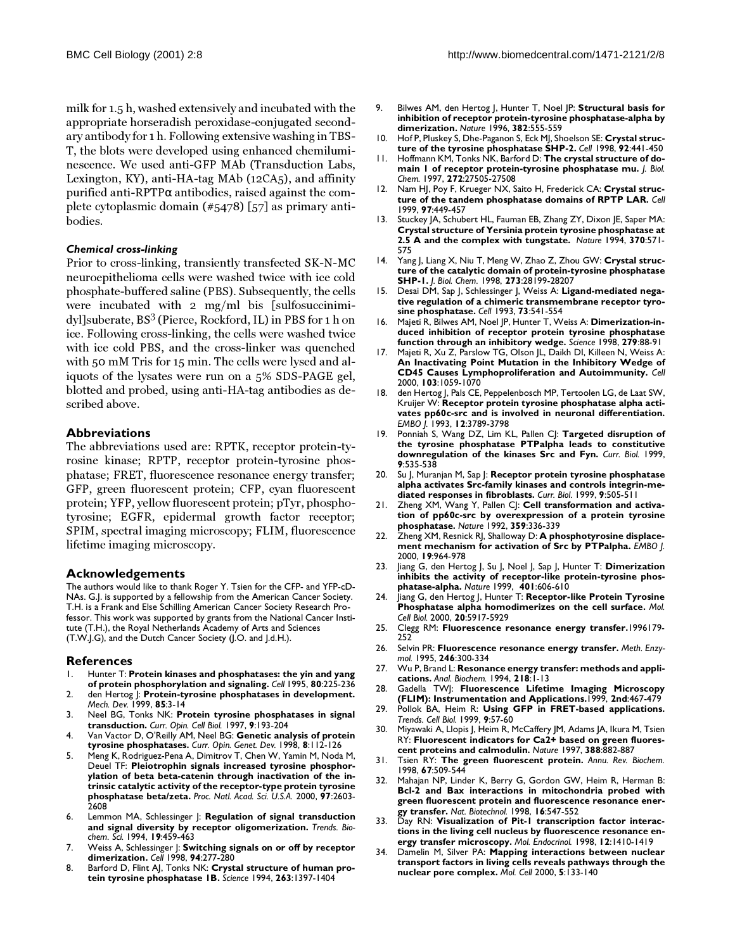milk for 1.5 h, washed extensively and incubated with the appropriate horseradish peroxidase-conjugated secondary antibody for 1 h. Following extensive washing in TBS-T, the blots were developed using enhanced chemiluminescence. We used anti-GFP MAb (Transduction Labs, Lexington, KY), anti-HA-tag MAb (12CA5), and affinity purified anti-RPTPα antibodies, raised against the complete cytoplasmic domain (#5478) [\[57](#page-13-22)] as primary antibodies.

#### *Chemical cross-linking*

Prior to cross-linking, transiently transfected SK-N-MC neuroepithelioma cells were washed twice with ice cold phosphate-buffered saline (PBS). Subsequently, the cells were incubated with 2 mg/ml bis [sulfosuccinimidyl]suberate, BS<sup>3</sup> (Pierce, Rockford, IL) in PBS for 1 h on ice. Following cross-linking, the cells were washed twice with ice cold PBS, and the cross-linker was quenched with 50 mM Tris for 15 min. The cells were lysed and aliquots of the lysates were run on a 5% SDS-PAGE gel, blotted and probed, using anti-HA-tag antibodies as described above.

#### **Abbreviations**

The abbreviations used are: RPTK, receptor protein-tyrosine kinase; RPTP, receptor protein-tyrosine phosphatase; FRET, fluorescence resonance energy transfer; GFP, green fluorescent protein; CFP, cyan fluorescent protein; YFP, yellow fluorescent protein; pTyr, phosphotyrosine; EGFR, epidermal growth factor receptor; SPIM, spectral imaging microscopy; FLIM, fluorescence lifetime imaging microscopy.

#### **Acknowledgements**

The authors would like to thank Roger Y. Tsien for the CFP- and YFP-cD-NAs. G.J. is supported by a fellowship from the American Cancer Society. T.H. is a Frank and Else Schilling American Cancer Society Research Professor. This work was supported by grants from the National Cancer Institute (T.H.), the Royal Netherlands Academy of Arts and Sciences (T.W.J.G), and the Dutch Cancer Society (J.O. and J.d.H.).

#### **References**

- <span id="page-12-0"></span>1. [Hunter T:](http://www.ncbi.nlm.nih.gov/entrez/query.fcgi?cmd=Retrieve&db=PubMed&dopt=Abstract&list_uids=7834742) **Protein kinases and phosphatases: the yin and yang of protein phosphorylation and signaling.** *Cell* 1995, **80**:225-236
- <span id="page-12-1"></span>2. [den Hertog J:](http://www.ncbi.nlm.nih.gov/entrez/query.fcgi?cmd=Retrieve&db=PubMed&dopt=Abstract&list_uids=10415342) **Protein-tyrosine phosphatases in development.** *Mech. Dev.* 1999, **85**:3-14
- <span id="page-12-2"></span>3. [Neel BG, Tonks NK:](http://www.ncbi.nlm.nih.gov/entrez/query.fcgi?cmd=Retrieve&db=PubMed&dopt=Abstract&list_uids=9069265) **Protein tyrosine phosphatases in signal transduction.** *Curr. Opin. Cell Biol.* 1997, **9**:193-204
- <span id="page-12-3"></span>4. [Van Vactor D, O'Reilly AM, Neel BG:](http://www.ncbi.nlm.nih.gov/entrez/query.fcgi?cmd=Retrieve&db=PubMed&dopt=Abstract&list_uids=9529614) **Genetic analysis of protein tyrosine phosphatases.** *Curr. Opin. Genet. Dev.* 1998, **8**:112-126
- <span id="page-12-4"></span>5. [Meng K, Rodriguez-Pena A, Dimitrov T, Chen W, Yamin M, Noda M,](http://www.ncbi.nlm.nih.gov/entrez/query.fcgi?cmd=Retrieve&db=PubMed&dopt=Abstract&list_uids=10706604) [Deuel TF:](http://www.ncbi.nlm.nih.gov/entrez/query.fcgi?cmd=Retrieve&db=PubMed&dopt=Abstract&list_uids=10706604) **Pleiotrophin signals increased tyrosine phosphorylation of beta beta-catenin through inactivation of the intrinsic catalytic activity of the receptor-type protein tyrosine phosphatase beta/zeta.** *Proc. Natl. Acad. Sci. U.S.A.* 2000, **97**:2603- 2608
- <span id="page-12-5"></span>6. [Lemmon MA, Schlessinger J:](http://www.ncbi.nlm.nih.gov/entrez/query.fcgi?cmd=Retrieve&db=PubMed&dopt=Abstract&list_uids=7855887) **Regulation of signal transduction and signal diversity by receptor oligomerization.** *Trends. Biochem. Sci.* 1994, **19**:459-463
- <span id="page-12-6"></span>7. [Weiss A, Schlessinger J:](http://www.ncbi.nlm.nih.gov/entrez/query.fcgi?cmd=Retrieve&db=PubMed&dopt=Abstract&list_uids=9708728) **Switching signals on or off by receptor dimerization.** *Cell* 1998, **94**:277-280
- <span id="page-12-7"></span>8. [Barford D, Flint AJ, Tonks NK:](http://www.ncbi.nlm.nih.gov/entrez/query.fcgi?cmd=Retrieve&db=PubMed&dopt=Abstract&list_uids=8128219) **Crystal structure of human protein tyrosine phosphatase 1B.** *Science* 1994, **263**:1397-1404
- <span id="page-12-8"></span>9. [Bilwes AM, den Hertog J, Hunter T, Noel JP:](http://www.ncbi.nlm.nih.gov/entrez/query.fcgi?cmd=Retrieve&db=PubMed&dopt=Abstract&list_uids=8700232) **Structural basis for inhibition of receptor protein-tyrosine phosphatase-alpha by dimerization.** *Nature* 1996, **382**:555-559
- <span id="page-12-9"></span>10. [Hof P, Pluskey S, Dhe-Paganon S, Eck MJ, Shoelson SE:](http://www.ncbi.nlm.nih.gov/entrez/query.fcgi?cmd=Retrieve&db=PubMed&dopt=Abstract&list_uids=9491886) **Crystal structure of the tyrosine phosphatase SHP-2.** *Cell* 1998, **92**:441-450
- <span id="page-12-10"></span>11. [Hoffmann KM, Tonks NK, Barford D:](http://www.ncbi.nlm.nih.gov/entrez/query.fcgi?cmd=Retrieve&db=PubMed&dopt=Abstract&list_uids=9346878) **The crystal structure of domain 1 of receptor protein-tyrosine phosphatase mu.** *J. Biol. Chem.* 1997, **272**:27505-27508
- <span id="page-12-11"></span>12. [Nam HJ, Poy F, Krueger NX, Saito H, Frederick CA:](http://www.ncbi.nlm.nih.gov/entrez/query.fcgi?cmd=Retrieve&db=PubMed&dopt=Abstract&list_uids=10338209) **Crystal structure of the tandem phosphatase domains of RPTP LAR.** *Cell* 1999, **97**:449-457
- <span id="page-12-12"></span>13. [Stuckey JA, Schubert HL, Fauman EB, Zhang ZY, Dixon JE, Saper MA:](http://www.ncbi.nlm.nih.gov/entrez/query.fcgi?cmd=Retrieve&db=PubMed&dopt=Abstract&list_uids=8052312) **Crystal structure of Yersinia protein tyrosine phosphatase at 2.5 A and the complex with tungstate.** *Nature* 1994, **370**:571- 575
- <span id="page-12-13"></span>14. [Yang J, Liang X, Niu T, Meng W, Zhao Z, Zhou GW:](http://www.ncbi.nlm.nih.gov/entrez/query.fcgi?cmd=Retrieve&db=PubMed&dopt=Abstract&list_uids=9774441) **Crystal structure of the catalytic domain of protein-tyrosine phosphatase SHP-1.** *J. Biol. Chem.* 1998, **273**:28199-28207
- <span id="page-12-14"></span>15. [Desai DM, Sap J, Schlessinger J, Weiss A:](http://www.ncbi.nlm.nih.gov/entrez/query.fcgi?cmd=Retrieve&db=PubMed&dopt=Abstract&list_uids=8490965) **Ligand-mediated negative regulation of a chimeric transmembrane receptor tyrosine phosphatase.** *Cell* 1993, **73**:541-554
- <span id="page-12-15"></span>16. [Majeti R, Bilwes AM, Noel JP, Hunter T, Weiss A:](http://www.ncbi.nlm.nih.gov/entrez/query.fcgi?cmd=Retrieve&db=PubMed&dopt=Abstract&list_uids=9417031) **Dimerization-induced inhibition of receptor protein tyrosine phosphatase function through an inhibitory wedge.** *Science* 1998, **279**:88-91
- <span id="page-12-16"></span>17. [Majeti R, Xu Z, Parslow TG, Olson JL, Daikh DI, Killeen N, Weiss A:](http://www.ncbi.nlm.nih.gov/entrez/query.fcgi?cmd=Retrieve&db=PubMed&dopt=Abstract&list_uids=11163182) **An Inactivating Point Mutation in the Inhibitory Wedge of CD45 Causes Lymphoproliferation and Autoimmunity.** *Cell* 2000, **103**:1059-1070
- <span id="page-12-17"></span>18. [den Hertog J, Pals CE, Peppelenbosch MP, Tertoolen LG, de Laat SW,](http://www.ncbi.nlm.nih.gov/entrez/query.fcgi?cmd=Retrieve&db=PubMed&dopt=Abstract&list_uids=7691597) [Kruijer W:](http://www.ncbi.nlm.nih.gov/entrez/query.fcgi?cmd=Retrieve&db=PubMed&dopt=Abstract&list_uids=7691597) **Receptor protein tyrosine phosphatase alpha activates pp60c-src and is involved in neuronal differentiation.** *EMBO J.* 1993, **12**:3789-3798
- <span id="page-12-18"></span>19. [Ponniah S, Wang DZ, Lim KL, Pallen CJ:](http://www.ncbi.nlm.nih.gov/entrez/query.fcgi?cmd=Retrieve&db=PubMed&dopt=Abstract&list_uids=10339428) **Targeted disruption of the tyrosine phosphatase PTPalpha leads to constitutive downregulation of the kinases Src and Fyn.** *Curr. Biol.* 1999, **9**:535-538
- <span id="page-12-19"></span>20. [Su J, Muranjan M, Sap J:](http://www.ncbi.nlm.nih.gov/entrez/query.fcgi?cmd=Retrieve&db=PubMed&dopt=Abstract&list_uids=10339427) **Receptor protein tyrosine phosphatase alpha activates Src-family kinases and controls integrin-mediated responses in fibroblasts.** *Curr. Biol.* 1999, **9**:505-511
- <span id="page-12-20"></span>21. [Zheng XM, Wang Y, Pallen CJ:](http://www.ncbi.nlm.nih.gov/entrez/query.fcgi?cmd=Retrieve&db=PubMed&dopt=Abstract&list_uids=1383828) Cell transformation and activa**tion of pp60c-src by overexpression of a protein tyrosine phosphatase.** *Nature* 1992, **359**:336-339
- <span id="page-12-21"></span>22. [Zheng XM, Resnick RJ, Shalloway D:](http://www.ncbi.nlm.nih.gov/entrez/query.fcgi?cmd=Retrieve&db=PubMed&dopt=Abstract&list_uids=10698938) **A phosphotyrosine displacement mechanism for activation of Src by PTPalpha.** *EMBO J.* 2000, **19**:964-978
- <span id="page-12-22"></span>23. [Jiang G, den Hertog J, Su J, Noel J, Sap J, Hunter T:](http://www.ncbi.nlm.nih.gov/entrez/query.fcgi?cmd=Retrieve&db=PubMed&dopt=Abstract&list_uids=10524630) **Dimerization inhibits the activity of receptor-like protein-tyrosine phosphatase-alpha.** *Nature* 1999, **401**:606-610
- <span id="page-12-23"></span>24. [Jiang G, den Hertog J, Hunter T:](http://www.ncbi.nlm.nih.gov/entrez/query.fcgi?cmd=Retrieve&db=PubMed&dopt=Abstract&list_uids=10913175) **Receptor-like Protein Tyrosine Phosphatase alpha homodimerizes on the cell surface.** *Mol. Cell Biol.* 2000, **20**:5917-5929
- <span id="page-12-24"></span>25. Clegg RM: **Fluorescence resonance energy transfer.**1996179- 252
- <span id="page-12-25"></span>26. [Selvin PR:](http://www.ncbi.nlm.nih.gov/entrez/query.fcgi?cmd=Retrieve&db=PubMed&dopt=Abstract&list_uids=7752929) **Fluorescence resonance energy transfer.** *Meth. Enzymol.* 1995, **246**:300-334
- <span id="page-12-26"></span>27. [Wu P, Brand L:](http://www.ncbi.nlm.nih.gov/entrez/query.fcgi?cmd=Retrieve&db=PubMed&dopt=Abstract&list_uids=8053542) **Resonance energy transfer: methods and applications.** *Anal. Biochem.* 1994, **218**:1-13
- <span id="page-12-27"></span>28. Gadella TWJ: **Fluorescence Lifetime Imaging Microscopy (FLIM): Instrumentation and Applications.**1999, **2nd**:467-479
- <span id="page-12-28"></span>29. [Pollok BA, Heim R:](http://www.ncbi.nlm.nih.gov/entrez/query.fcgi?cmd=Retrieve&db=PubMed&dopt=Abstract&list_uids=10087619) **Using GFP in FRET-based applications.** *Trends. Cell Biol.* 1999, **9**:57-60
- <span id="page-12-29"></span>30. [Miyawaki A, Llopis J, Heim R, McCaffery JM, Adams JA, Ikura M, Tsien](http://www.ncbi.nlm.nih.gov/entrez/query.fcgi?cmd=Retrieve&db=PubMed&dopt=Abstract&list_uids=9278050) [RY:](http://www.ncbi.nlm.nih.gov/entrez/query.fcgi?cmd=Retrieve&db=PubMed&dopt=Abstract&list_uids=9278050) **Fluorescent indicators for Ca2+ based on green fluorescent proteins and calmodulin.** *Nature* 1997, **388**:882-887
- <span id="page-12-30"></span>31. [Tsien RY:](http://www.ncbi.nlm.nih.gov/entrez/query.fcgi?cmd=Retrieve&db=PubMed&dopt=Abstract&list_uids=9759496) **The green fluorescent protein.** *Annu. Rev. Biochem.* 1998, **67**:509-544
- <span id="page-12-31"></span>32. [Mahajan NP, Linder K, Berry G, Gordon GW, Heim R, Herman B:](http://www.ncbi.nlm.nih.gov/entrez/query.fcgi?cmd=Retrieve&db=PubMed&dopt=Abstract&list_uids=9624685) **Bcl-2 and Bax interactions in mitochondria probed with green fluorescent protein and fluorescence resonance energy transfer.** *Nat. Biotechnol.* 1998, **16**:547-552
- <span id="page-12-32"></span>33. [Day RN:](http://www.ncbi.nlm.nih.gov/entrez/query.fcgi?cmd=Retrieve&db=PubMed&dopt=Abstract&list_uids=9731708) **Visualization of Pit-1 transcription factor interactions in the living cell nucleus by fluorescence resonance energy transfer microscopy.** *Mol. Endocrinol.* 1998, **12**:1410-1419
- <span id="page-12-33"></span>Damelin M, Silver PA: Mapping interactions between nuclear **transport factors in living cells reveals pathways through the nuclear pore complex.** *Mol. Cell* 2000, **5**:133-140